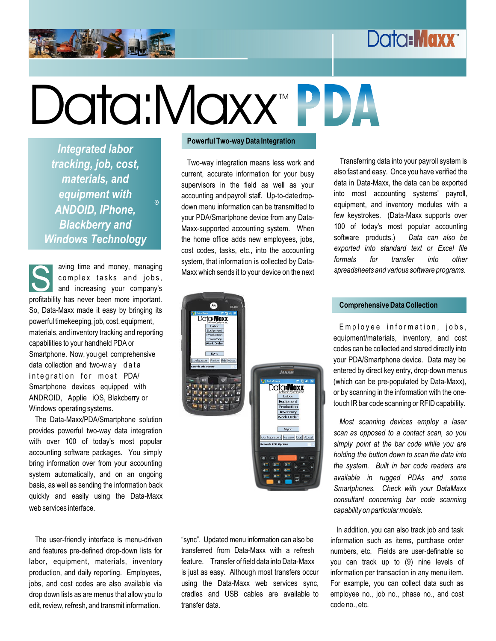# Data**:Maxx**

# Data:Maxx™ PDA TM

*Integrated labor tracking, job, cost, materials, and equipment with ANDOID, IPhone, Blackberry and Windows Technology*

*®*

S and increasing your company's So, Data-Maxx made it easy by bringing its powerful timekeeping, job, cost, equipment, materials, and inventory tracking and reporting capabilities to your handheld PDA or Smartphone. Now, you get comprehensive data collection and two-w ay d a ta inte gration for most PDA/ Smartphone devices equipped with ANDROID, Applie iOS, Blakcberry or

The Data-Maxx/PDA/Smartphone solution provides powerful two-way data integration with over 100 of today's most popular accounting software packages. You simply bring information over from your accounting system automatically, and on an ongoing basis, as well as sending the information back quickly and easily using the Data-Maxx web services interface.

The user-friendly interface is menu-driven and features pre-defined drop-down lists for labor, equipment, materials, inventory production, and daily reporting. Employees, jobs, and cost codes are also available via drop down lists as are menus that allow you to edit, review, refresh, and transmit information.

### **Powerful Two-way Data Integration**

Two-way integration means less work and current, accurate information for your busy supervisors in the field as well as your accounting and payroll staff. Up-to-date dropdown menu information can be transmitted to your PDA/Smartphone device from any Data-Maxx-supported accounting system. When the home office adds new employees, jobs, cost codes, tasks, etc., into the accounting system, that information is collected by Data-<br>complex tasks and jobs, Maxx which sends it to your device on the next

Transferring data into your payroll system is also fast and easy. Once you have verified the data in Data-Maxx, the data can be exported into most accounting systems' payroll, equipment, and inventory modules with a few keystrokes. (Data-Maxx supports over 100 of today's most popular accounting software products.) *Data can also be exported into standard text or Excel file formats for transfer into other spreadsheets and various software programs.*



"sync". Updated menu information can also be transferred from Data-Maxx with a refresh feature. Transfer of field data into Data-Maxx is just as easy. Although most transfers occur using the Data-Maxx web services sync, cradles and USB cables are available to transfer data.

Employee information, jobs, equipment/materials, inventory, and cost codes can be collected and stored directly into your PDA/Smartphone device. Data may be entered by direct key entry, drop-down menus (which can be pre-populated by Data-Maxx), or by scanning in the information with the one-

*Most scanning devices employ a laser scan as opposed to a contact scan, so you simply point at the bar code while you are holding the button down to scan the data into the system. Built in bar code readers are available in rugged PDAs and some Smartphones. Check with your DataMaxx consultant concerning bar code scanning capability on particular models.*

In addition, you can also track job and task information such as items, purchase order numbers, etc. Fields are user-definable so you can track up to (9) nine levels of information per transaction in any menu item. For example, you can collect data such as employee no., job no., phase no., and cost code no., etc.